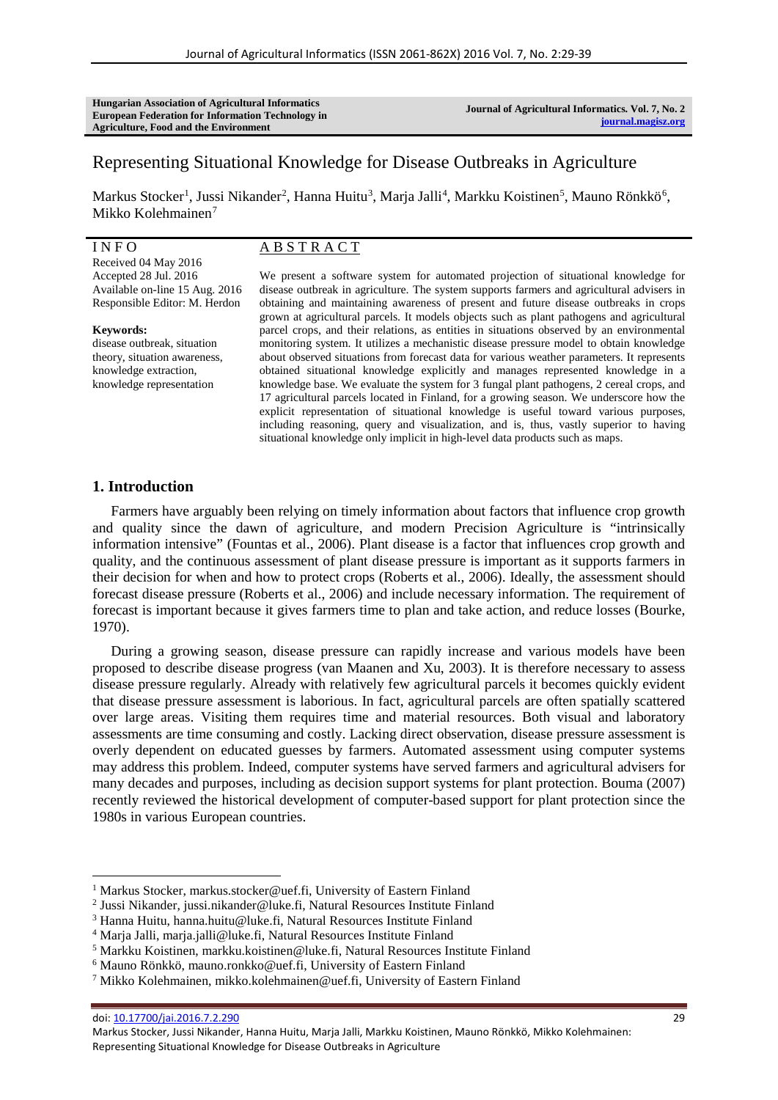**Hungarian Association of Agricultural Informatics European Federation for Information Technology in Agriculture, Food and the Environment**

**Journal of Agricultural Informatics. Vol. 7, No. 2 [journal.magisz.org](http://journal.magisz.org/)**

# Representing Situational Knowledge for Disease Outbreaks in Agriculture

Markus Stocker<sup>[1](#page-0-0)</sup>, Jussi Nikander<sup>[2](#page-0-1)</sup>, Hanna Huitu<sup>[3](#page-0-2)</sup>, Marja Jalli<sup>[4](#page-0-3)</sup>, Markku Koistinen<sup>[5](#page-0-4)</sup>, Mauno Rönkkö<sup>[6](#page-0-5)</sup>, Mikko Kolehmainen<sup>[7](#page-0-6)</sup>

#### I N F O

Received 04 May 2016 Accepted 28 Jul. 2016 Available on-line 15 Aug. 2016 Responsible Editor: M. Herdon

**Keywords:** disease outbreak, situation theory, situation awareness, knowledge extraction, knowledge representation

## A B S T R A C T

We present a software system for automated projection of situational knowledge for disease outbreak in agriculture. The system supports farmers and agricultural advisers in obtaining and maintaining awareness of present and future disease outbreaks in crops grown at agricultural parcels. It models objects such as plant pathogens and agricultural parcel crops, and their relations, as entities in situations observed by an environmental monitoring system. It utilizes a mechanistic disease pressure model to obtain knowledge about observed situations from forecast data for various weather parameters. It represents obtained situational knowledge explicitly and manages represented knowledge in a knowledge base. We evaluate the system for 3 fungal plant pathogens, 2 cereal crops, and 17 agricultural parcels located in Finland, for a growing season. We underscore how the explicit representation of situational knowledge is useful toward various purposes, including reasoning, query and visualization, and is, thus, vastly superior to having situational knowledge only implicit in high-level data products such as maps.

## **1. Introduction**

Farmers have arguably been relying on timely information about factors that influence crop growth and quality since the dawn of agriculture, and modern Precision Agriculture is "intrinsically information intensive" (Fountas et al., 2006). Plant disease is a factor that influences crop growth and quality, and the continuous assessment of plant disease pressure is important as it supports farmers in their decision for when and how to protect crops (Roberts et al., 2006). Ideally, the assessment should forecast disease pressure (Roberts et al., 2006) and include necessary information. The requirement of forecast is important because it gives farmers time to plan and take action, and reduce losses (Bourke, 1970).

During a growing season, disease pressure can rapidly increase and various models have been proposed to describe disease progress (van Maanen and Xu, 2003). It is therefore necessary to assess disease pressure regularly. Already with relatively few agricultural parcels it becomes quickly evident that disease pressure assessment is laborious. In fact, agricultural parcels are often spatially scattered over large areas. Visiting them requires time and material resources. Both visual and laboratory assessments are time consuming and costly. Lacking direct observation, disease pressure assessment is overly dependent on educated guesses by farmers. Automated assessment using computer systems may address this problem. Indeed, computer systems have served farmers and agricultural advisers for many decades and purposes, including as decision support systems for plant protection. Bouma (2007) recently reviewed the historical development of computer-based support for plant protection since the 1980s in various European countries.

doi: [10.17700/jai.2016.7.2.290](http://dx.doi.org/10.17700/jai.2016.7.2.290) 29

l

<sup>&</sup>lt;sup>1</sup> Markus Stocker, markus.stocker@uef.fi, University of Eastern Finland

<span id="page-0-1"></span><span id="page-0-0"></span><sup>2</sup> Jussi Nikander, jussi.nikander@luke.fi, Natural Resources Institute Finland

<span id="page-0-2"></span><sup>3</sup> Hanna Huitu, hanna.huitu@luke.fi, Natural Resources Institute Finland

<span id="page-0-3"></span><sup>4</sup> Marja Jalli, marja.jalli@luke.fi, Natural Resources Institute Finland

<span id="page-0-4"></span><sup>5</sup> Markku Koistinen, markku.koistinen@luke.fi, Natural Resources Institute Finland

<span id="page-0-5"></span><sup>6</sup> Mauno Rönkkö, mauno.ronkko@uef.fi, University of Eastern Finland

<span id="page-0-6"></span><sup>7</sup> Mikko Kolehmainen, mikko.kolehmainen@uef.fi, University of Eastern Finland

Markus Stocker, Jussi Nikander, Hanna Huitu, Marja Jalli, Markku Koistinen, Mauno Rönkkö, Mikko Kolehmainen: Representing Situational Knowledge for Disease Outbreaks in Agriculture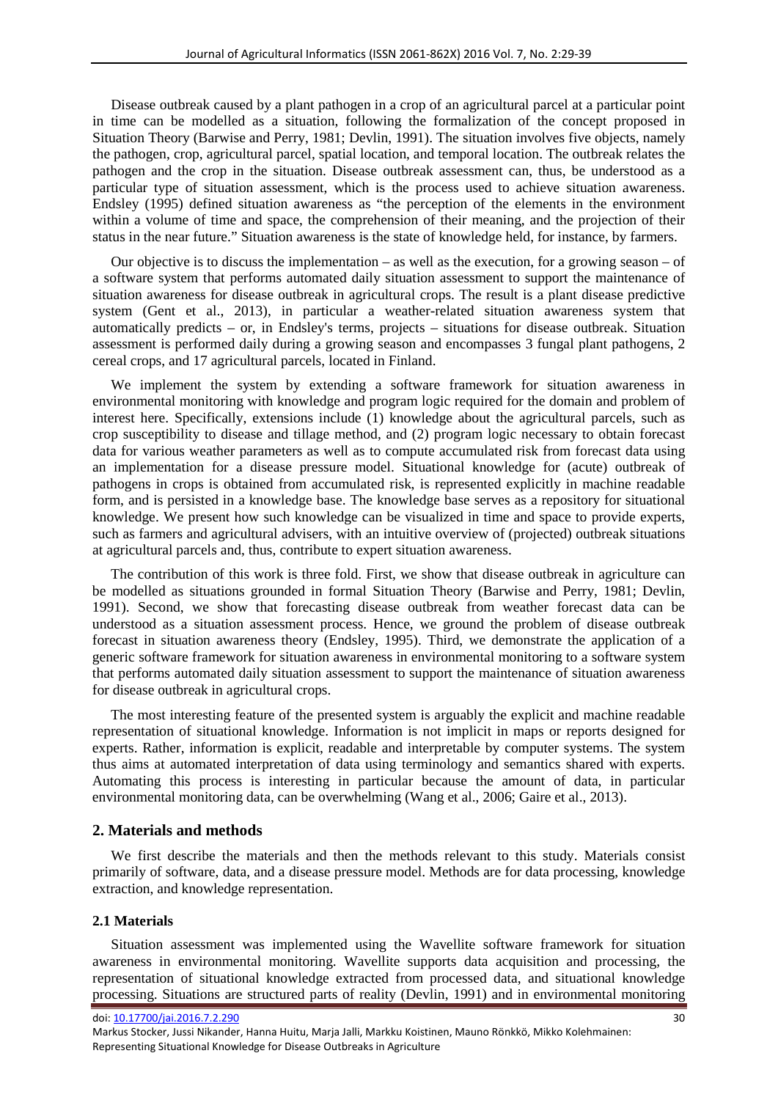Disease outbreak caused by a plant pathogen in a crop of an agricultural parcel at a particular point in time can be modelled as a situation, following the formalization of the concept proposed in Situation Theory (Barwise and Perry, 1981; Devlin, 1991). The situation involves five objects, namely the pathogen, crop, agricultural parcel, spatial location, and temporal location. The outbreak relates the pathogen and the crop in the situation. Disease outbreak assessment can, thus, be understood as a particular type of situation assessment, which is the process used to achieve situation awareness. Endsley (1995) defined situation awareness as "the perception of the elements in the environment within a volume of time and space, the comprehension of their meaning, and the projection of their status in the near future." Situation awareness is the state of knowledge held, for instance, by farmers.

Our objective is to discuss the implementation – as well as the execution, for a growing season – of a software system that performs automated daily situation assessment to support the maintenance of situation awareness for disease outbreak in agricultural crops. The result is a plant disease predictive system (Gent et al., 2013), in particular a weather-related situation awareness system that automatically predicts – or, in Endsley's terms, projects – situations for disease outbreak. Situation assessment is performed daily during a growing season and encompasses 3 fungal plant pathogens, 2 cereal crops, and 17 agricultural parcels, located in Finland.

We implement the system by extending a software framework for situation awareness in environmental monitoring with knowledge and program logic required for the domain and problem of interest here. Specifically, extensions include (1) knowledge about the agricultural parcels, such as crop susceptibility to disease and tillage method, and (2) program logic necessary to obtain forecast data for various weather parameters as well as to compute accumulated risk from forecast data using an implementation for a disease pressure model. Situational knowledge for (acute) outbreak of pathogens in crops is obtained from accumulated risk, is represented explicitly in machine readable form, and is persisted in a knowledge base. The knowledge base serves as a repository for situational knowledge. We present how such knowledge can be visualized in time and space to provide experts, such as farmers and agricultural advisers, with an intuitive overview of (projected) outbreak situations at agricultural parcels and, thus, contribute to expert situation awareness.

The contribution of this work is three fold. First, we show that disease outbreak in agriculture can be modelled as situations grounded in formal Situation Theory (Barwise and Perry, 1981; Devlin, 1991). Second, we show that forecasting disease outbreak from weather forecast data can be understood as a situation assessment process. Hence, we ground the problem of disease outbreak forecast in situation awareness theory (Endsley, 1995). Third, we demonstrate the application of a generic software framework for situation awareness in environmental monitoring to a software system that performs automated daily situation assessment to support the maintenance of situation awareness for disease outbreak in agricultural crops.

The most interesting feature of the presented system is arguably the explicit and machine readable representation of situational knowledge. Information is not implicit in maps or reports designed for experts. Rather, information is explicit, readable and interpretable by computer systems. The system thus aims at automated interpretation of data using terminology and semantics shared with experts. Automating this process is interesting in particular because the amount of data, in particular environmental monitoring data, can be overwhelming (Wang et al., 2006; Gaire et al., 2013).

#### **2. Materials and methods**

We first describe the materials and then the methods relevant to this study. Materials consist primarily of software, data, and a disease pressure model. Methods are for data processing, knowledge extraction, and knowledge representation.

## **2.1 Materials**

Situation assessment was implemented using the Wavellite software framework for situation awareness in environmental monitoring. Wavellite supports data acquisition and processing, the representation of situational knowledge extracted from processed data, and situational knowledge processing. Situations are structured parts of reality (Devlin, 1991) and in environmental monitoring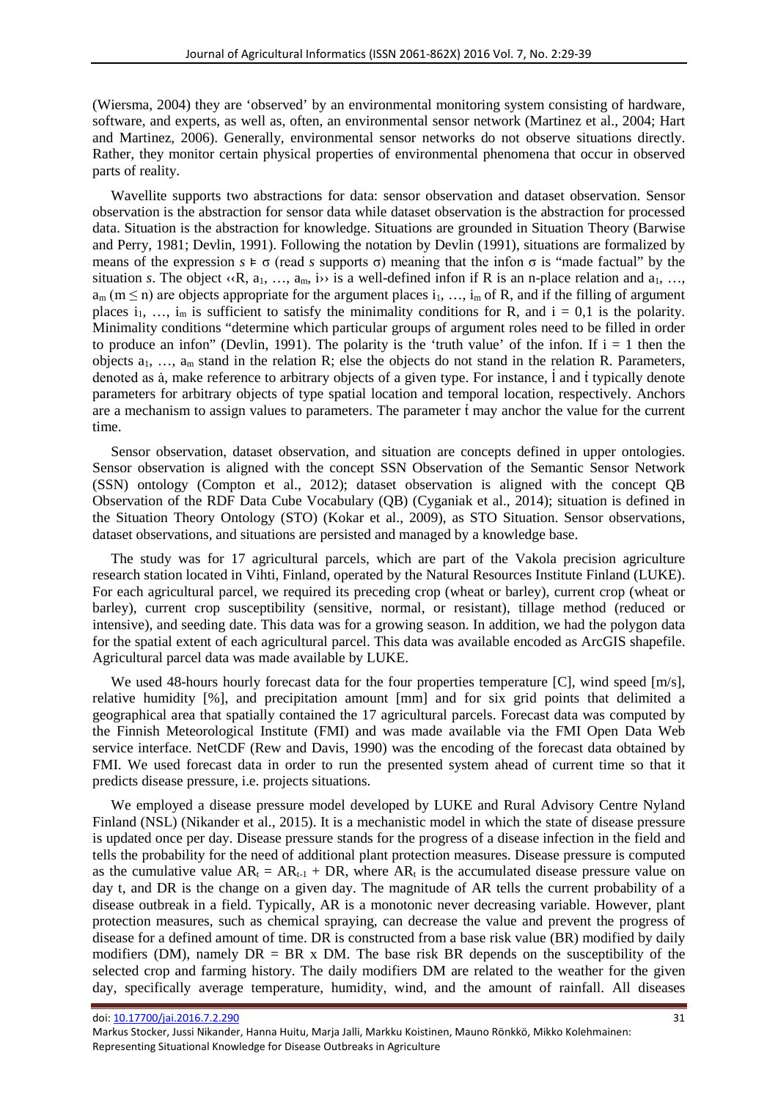(Wiersma, 2004) they are 'observed' by an environmental monitoring system consisting of hardware, software, and experts, as well as, often, an environmental sensor network (Martinez et al., 2004; Hart and Martinez, 2006). Generally, environmental sensor networks do not observe situations directly. Rather, they monitor certain physical properties of environmental phenomena that occur in observed parts of reality.

Wavellite supports two abstractions for data: sensor observation and dataset observation. Sensor observation is the abstraction for sensor data while dataset observation is the abstraction for processed data. Situation is the abstraction for knowledge. Situations are grounded in Situation Theory (Barwise and Perry, 1981; Devlin, 1991). Following the notation by Devlin (1991), situations are formalized by means of the expression  $s \models \sigma$  (read *s* supports  $\sigma$ ) meaning that the infon  $\sigma$  is "made factual" by the situation *s*. The object  $\langle \langle R, a_1, ..., a_m, i \rangle$  is a well-defined infon if R is an n-place relation and  $a_1, ..., a_m$  $a_m$  (m  $\leq$  n) are objects appropriate for the argument places  $i_1, ..., i_m$  of R, and if the filling of argument places i<sub>1</sub>, …, i<sub>m</sub> is sufficient to satisfy the minimality conditions for R, and  $i = 0.1$  is the polarity. Minimality conditions "determine which particular groups of argument roles need to be filled in order to produce an infon" (Devlin, 1991). The polarity is the 'truth value' of the infon. If  $i = 1$  then the objects  $a_1, \ldots, a_m$  stand in the relation R; else the objects do not stand in the relation R. Parameters, denoted as à, make reference to arbitrary objects of a given type. For instance, l and t typically denote parameters for arbitrary objects of type spatial location and temporal location, respectively. Anchors are a mechanism to assign values to parameters. The parameter  $\dot{t}$  may anchor the value for the current time.

Sensor observation, dataset observation, and situation are concepts defined in upper ontologies. Sensor observation is aligned with the concept SSN Observation of the Semantic Sensor Network (SSN) ontology (Compton et al., 2012); dataset observation is aligned with the concept QB Observation of the RDF Data Cube Vocabulary (QB) (Cyganiak et al., 2014); situation is defined in the Situation Theory Ontology (STO) (Kokar et al., 2009), as STO Situation. Sensor observations, dataset observations, and situations are persisted and managed by a knowledge base.

The study was for 17 agricultural parcels, which are part of the Vakola precision agriculture research station located in Vihti, Finland, operated by the Natural Resources Institute Finland (LUKE). For each agricultural parcel, we required its preceding crop (wheat or barley), current crop (wheat or barley), current crop susceptibility (sensitive, normal, or resistant), tillage method (reduced or intensive), and seeding date. This data was for a growing season. In addition, we had the polygon data for the spatial extent of each agricultural parcel. This data was available encoded as ArcGIS shapefile. Agricultural parcel data was made available by LUKE.

We used 48-hours hourly forecast data for the four properties temperature [C], wind speed [m/s], relative humidity [%], and precipitation amount [mm] and for six grid points that delimited a geographical area that spatially contained the 17 agricultural parcels. Forecast data was computed by the Finnish Meteorological Institute (FMI) and was made available via the FMI Open Data Web service interface. NetCDF (Rew and Davis, 1990) was the encoding of the forecast data obtained by FMI. We used forecast data in order to run the presented system ahead of current time so that it predicts disease pressure, i.e. projects situations.

We employed a disease pressure model developed by LUKE and Rural Advisory Centre Nyland Finland (NSL) (Nikander et al., 2015). It is a mechanistic model in which the state of disease pressure is updated once per day. Disease pressure stands for the progress of a disease infection in the field and tells the probability for the need of additional plant protection measures. Disease pressure is computed as the cumulative value  $AR_t = AR_{t-1} + DR$ , where  $AR_t$  is the accumulated disease pressure value on day t, and DR is the change on a given day. The magnitude of AR tells the current probability of a disease outbreak in a field. Typically, AR is a monotonic never decreasing variable. However, plant protection measures, such as chemical spraying, can decrease the value and prevent the progress of disease for a defined amount of time. DR is constructed from a base risk value (BR) modified by daily modifiers (DM), namely  $DR = BR \times DM$ . The base risk BR depends on the susceptibility of the selected crop and farming history. The daily modifiers DM are related to the weather for the given day, specifically average temperature, humidity, wind, and the amount of rainfall. All diseases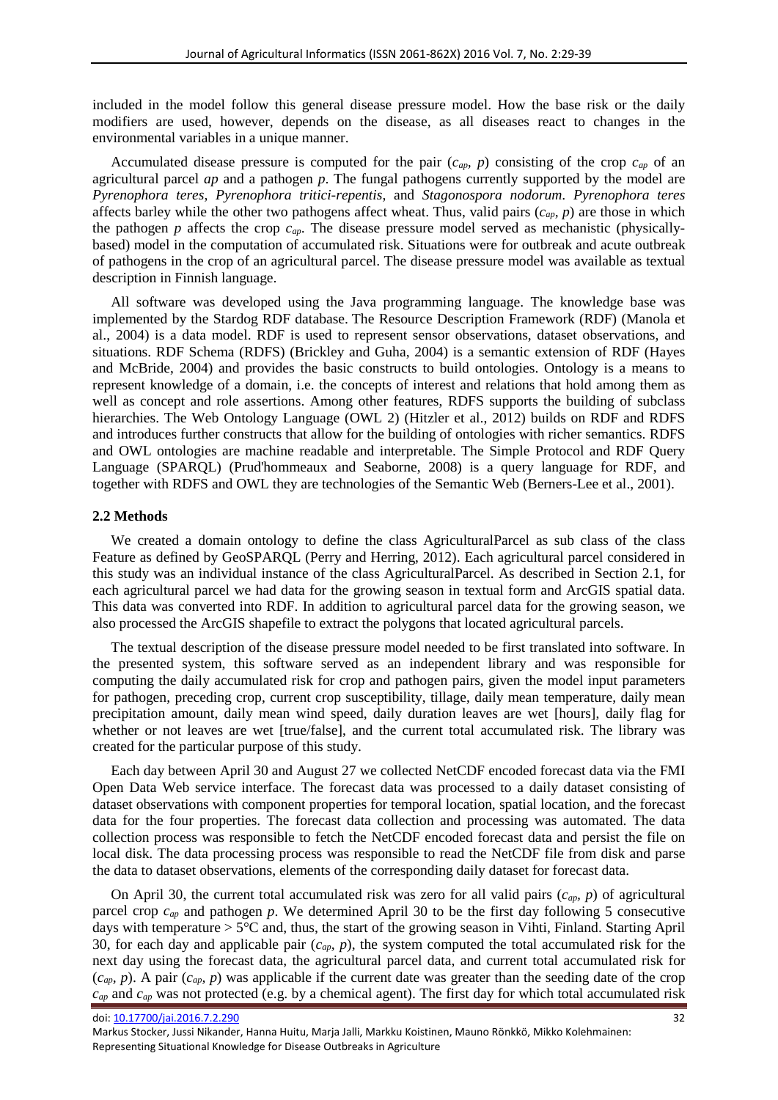included in the model follow this general disease pressure model. How the base risk or the daily modifiers are used, however, depends on the disease, as all diseases react to changes in the environmental variables in a unique manner.

Accumulated disease pressure is computed for the pair (*cap, p*) consisting of the crop *cap* of an agricultural parcel *ap* and a pathogen *p*. The fungal pathogens currently supported by the model are *Pyrenophora teres*, *Pyrenophora tritici-repentis*, and *Stagonospora nodorum*. *Pyrenophora teres* affects barley while the other two pathogens affect wheat. Thus, valid pairs  $(c_{ap}, p)$  are those in which the pathogen *p* affects the crop *cap*. The disease pressure model served as mechanistic (physicallybased) model in the computation of accumulated risk. Situations were for outbreak and acute outbreak of pathogens in the crop of an agricultural parcel. The disease pressure model was available as textual description in Finnish language.

All software was developed using the Java programming language. The knowledge base was implemented by the Stardog RDF database. The Resource Description Framework (RDF) (Manola et al., 2004) is a data model. RDF is used to represent sensor observations, dataset observations, and situations. RDF Schema (RDFS) (Brickley and Guha, 2004) is a semantic extension of RDF (Hayes and McBride, 2004) and provides the basic constructs to build ontologies. Ontology is a means to represent knowledge of a domain, i.e. the concepts of interest and relations that hold among them as well as concept and role assertions. Among other features, RDFS supports the building of subclass hierarchies. The Web Ontology Language (OWL 2) (Hitzler et al., 2012) builds on RDF and RDFS and introduces further constructs that allow for the building of ontologies with richer semantics. RDFS and OWL ontologies are machine readable and interpretable. The Simple Protocol and RDF Query Language (SPARQL) (Prud'hommeaux and Seaborne, 2008) is a query language for RDF, and together with RDFS and OWL they are technologies of the Semantic Web (Berners-Lee et al., 2001).

#### **2.2 Methods**

We created a domain ontology to define the class AgriculturalParcel as sub class of the class Feature as defined by GeoSPARQL (Perry and Herring, 2012). Each agricultural parcel considered in this study was an individual instance of the class AgriculturalParcel. As described in Section 2.1, for each agricultural parcel we had data for the growing season in textual form and ArcGIS spatial data. This data was converted into RDF. In addition to agricultural parcel data for the growing season, we also processed the ArcGIS shapefile to extract the polygons that located agricultural parcels.

The textual description of the disease pressure model needed to be first translated into software. In the presented system, this software served as an independent library and was responsible for computing the daily accumulated risk for crop and pathogen pairs, given the model input parameters for pathogen, preceding crop, current crop susceptibility, tillage, daily mean temperature, daily mean precipitation amount, daily mean wind speed, daily duration leaves are wet [hours], daily flag for whether or not leaves are wet [true/false], and the current total accumulated risk. The library was created for the particular purpose of this study.

Each day between April 30 and August 27 we collected NetCDF encoded forecast data via the FMI Open Data Web service interface. The forecast data was processed to a daily dataset consisting of dataset observations with component properties for temporal location, spatial location, and the forecast data for the four properties. The forecast data collection and processing was automated. The data collection process was responsible to fetch the NetCDF encoded forecast data and persist the file on local disk. The data processing process was responsible to read the NetCDF file from disk and parse the data to dataset observations, elements of the corresponding daily dataset for forecast data.

On April 30, the current total accumulated risk was zero for all valid pairs (*cap, p*) of agricultural parcel crop *cap* and pathogen *p*. We determined April 30 to be the first day following 5 consecutive days with temperature  $> 5^{\circ}$ C and, thus, the start of the growing season in Vihti, Finland. Starting April 30, for each day and applicable pair (*cap, p*), the system computed the total accumulated risk for the next day using the forecast data, the agricultural parcel data, and current total accumulated risk for (*cap, p*). A pair (*cap, p*) was applicable if the current date was greater than the seeding date of the crop *cap* and *cap* was not protected (e.g. by a chemical agent). The first day for which total accumulated risk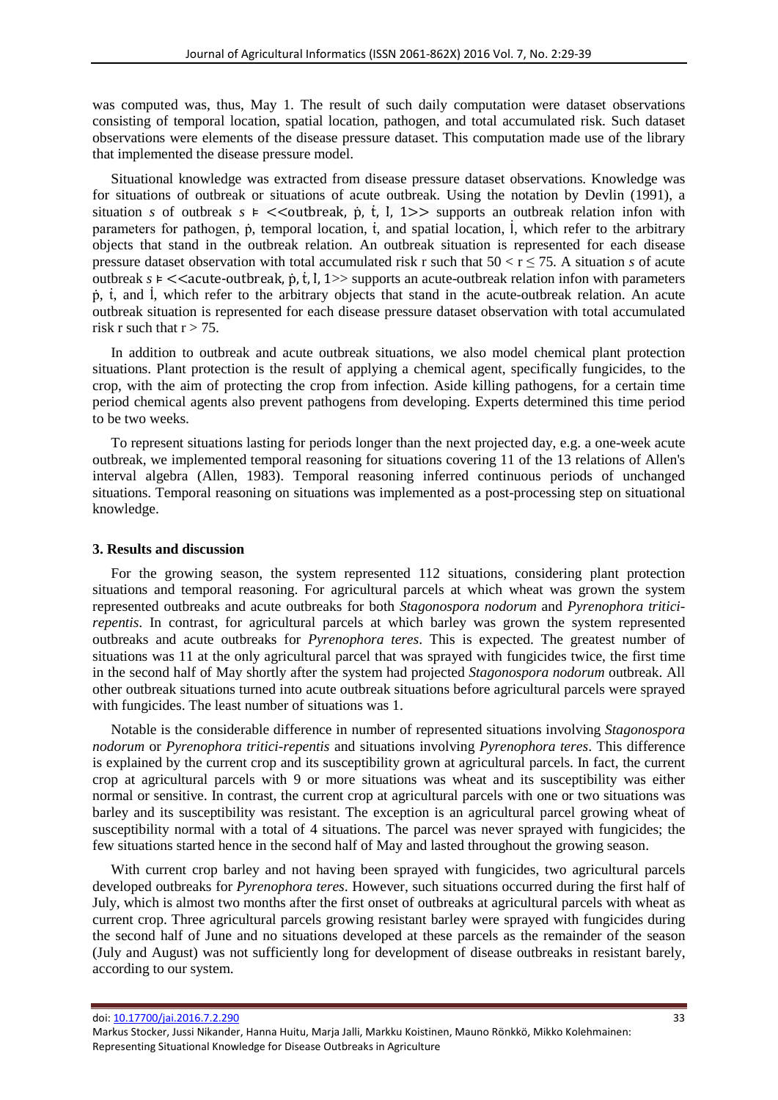was computed was, thus, May 1. The result of such daily computation were dataset observations consisting of temporal location, spatial location, pathogen, and total accumulated risk. Such dataset observations were elements of the disease pressure dataset. This computation made use of the library that implemented the disease pressure model.

Situational knowledge was extracted from disease pressure dataset observations. Knowledge was for situations of outbreak or situations of acute outbreak. Using the notation by Devlin (1991), a situation *s* of outbreak  $s \models \leq$  outbreak,  $\phi$ ,  $\phi$ ,  $\phi$ ,  $\phi$ ,  $\phi$ ,  $\phi$ ,  $\phi$ ,  $\phi$ ,  $\phi$ ,  $\phi$ ,  $\phi$ ,  $\phi$ ,  $\phi$ ,  $\phi$ ,  $\phi$ ,  $\phi$ ,  $\phi$ ,  $\phi$ ,  $\phi$ ,  $\phi$ ,  $\phi$ ,  $\phi$ ,  $\phi$ ,  $\phi$ ,  $\phi$ ,  $\phi$ ,  $\phi$ ,  $\phi$ ,  $\phi$ ,  $\$ parameters for pathogen, ṗ, temporal location, ṫ, and spatial location, l , which refer to the arbitrary İ objects that stand in the outbreak relation. An outbreak situation is represented for each disease pressure dataset observation with total accumulated risk r such that  $50 < r \le 75$ . A situation *s* of acute outbreak  $s \in \langle \langle \langle \rangle \rangle$  supports an acute-outbreak relation infon with parameters ṗ, ṫ, and l , which refer to the arbitrary objects that stand in the acute-outbreak relation. An acute ̇ outbreak situation is represented for each disease pressure dataset observation with total accumulated risk r such that  $r > 75$ .

In addition to outbreak and acute outbreak situations, we also model chemical plant protection situations. Plant protection is the result of applying a chemical agent, specifically fungicides, to the crop, with the aim of protecting the crop from infection. Aside killing pathogens, for a certain time period chemical agents also prevent pathogens from developing. Experts determined this time period to be two weeks.

To represent situations lasting for periods longer than the next projected day, e.g. a one-week acute outbreak, we implemented temporal reasoning for situations covering 11 of the 13 relations of Allen's interval algebra (Allen, 1983). Temporal reasoning inferred continuous periods of unchanged situations. Temporal reasoning on situations was implemented as a post-processing step on situational knowledge.

#### **3. Results and discussion**

For the growing season, the system represented 112 situations, considering plant protection situations and temporal reasoning. For agricultural parcels at which wheat was grown the system represented outbreaks and acute outbreaks for both *Stagonospora nodorum* and *Pyrenophora triticirepentis*. In contrast, for agricultural parcels at which barley was grown the system represented outbreaks and acute outbreaks for *Pyrenophora teres*. This is expected. The greatest number of situations was 11 at the only agricultural parcel that was sprayed with fungicides twice, the first time in the second half of May shortly after the system had projected *Stagonospora nodorum* outbreak. All other outbreak situations turned into acute outbreak situations before agricultural parcels were sprayed with fungicides. The least number of situations was 1.

Notable is the considerable difference in number of represented situations involving *Stagonospora nodorum* or *Pyrenophora tritici-repentis* and situations involving *Pyrenophora teres*. This difference is explained by the current crop and its susceptibility grown at agricultural parcels. In fact, the current crop at agricultural parcels with 9 or more situations was wheat and its susceptibility was either normal or sensitive. In contrast, the current crop at agricultural parcels with one or two situations was barley and its susceptibility was resistant. The exception is an agricultural parcel growing wheat of susceptibility normal with a total of 4 situations. The parcel was never sprayed with fungicides; the few situations started hence in the second half of May and lasted throughout the growing season.

With current crop barley and not having been sprayed with fungicides, two agricultural parcels developed outbreaks for *Pyrenophora teres*. However, such situations occurred during the first half of July, which is almost two months after the first onset of outbreaks at agricultural parcels with wheat as current crop. Three agricultural parcels growing resistant barley were sprayed with fungicides during the second half of June and no situations developed at these parcels as the remainder of the season (July and August) was not sufficiently long for development of disease outbreaks in resistant barely, according to our system.

Markus Stocker, Jussi Nikander, Hanna Huitu, Marja Jalli, Markku Koistinen, Mauno Rönkkö, Mikko Kolehmainen: Representing Situational Knowledge for Disease Outbreaks in Agriculture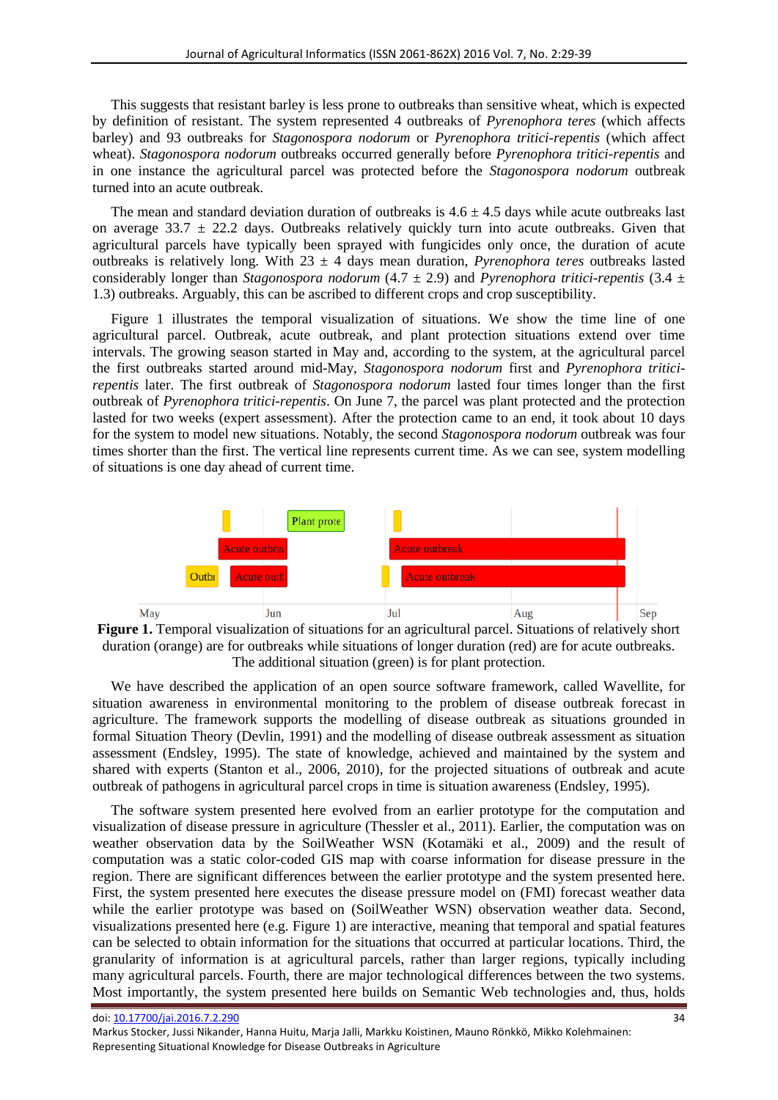This suggests that resistant barley is less prone to outbreaks than sensitive wheat, which is expected by definition of resistant. The system represented 4 outbreaks of *Pyrenophora teres* (which affects barley) and 93 outbreaks for *Stagonospora nodorum* or *Pyrenophora tritici-repentis* (which affect wheat). *Stagonospora nodorum* outbreaks occurred generally before *Pyrenophora tritici-repentis* and in one instance the agricultural parcel was protected before the *Stagonospora nodorum* outbreak turned into an acute outbreak.

The mean and standard deviation duration of outbreaks is  $4.6 \pm 4.5$  days while acute outbreaks last on average  $33.7 \pm 22.2$  days. Outbreaks relatively quickly turn into acute outbreaks. Given that agricultural parcels have typically been sprayed with fungicides only once, the duration of acute outbreaks is relatively long. With 23 ± 4 days mean duration, *Pyrenophora teres* outbreaks lasted considerably longer than *Stagonospora nodorum* (4.7 ± 2.9) and *Pyrenophora tritici-repentis* (3.4 ± 1.3) outbreaks. Arguably, this can be ascribed to different crops and crop susceptibility.

Figure 1 illustrates the temporal visualization of situations. We show the time line of one agricultural parcel. Outbreak, acute outbreak, and plant protection situations extend over time intervals. The growing season started in May and, according to the system, at the agricultural parcel the first outbreaks started around mid-May, *Stagonospora nodorum* first and *Pyrenophora triticirepentis* later. The first outbreak of *Stagonospora nodorum* lasted four times longer than the first outbreak of *Pyrenophora tritici-repentis*. On June 7, the parcel was plant protected and the protection lasted for two weeks (expert assessment). After the protection came to an end, it took about 10 days for the system to model new situations. Notably, the second *Stagonospora nodorum* outbreak was four times shorter than the first. The vertical line represents current time. As we can see, system modelling of situations is one day ahead of current time.





We have described the application of an open source software framework, called Wavellite, for situation awareness in environmental monitoring to the problem of disease outbreak forecast in agriculture. The framework supports the modelling of disease outbreak as situations grounded in formal Situation Theory (Devlin, 1991) and the modelling of disease outbreak assessment as situation assessment (Endsley, 1995). The state of knowledge, achieved and maintained by the system and shared with experts (Stanton et al., 2006, 2010), for the projected situations of outbreak and acute outbreak of pathogens in agricultural parcel crops in time is situation awareness (Endsley, 1995).

The software system presented here evolved from an earlier prototype for the computation and visualization of disease pressure in agriculture (Thessler et al., 2011). Earlier, the computation was on weather observation data by the SoilWeather WSN (Kotamäki et al., 2009) and the result of computation was a static color-coded GIS map with coarse information for disease pressure in the region. There are significant differences between the earlier prototype and the system presented here. First, the system presented here executes the disease pressure model on (FMI) forecast weather data while the earlier prototype was based on (SoilWeather WSN) observation weather data. Second, visualizations presented here (e.g. Figure 1) are interactive, meaning that temporal and spatial features can be selected to obtain information for the situations that occurred at particular locations. Third, the granularity of information is at agricultural parcels, rather than larger regions, typically including many agricultural parcels. Fourth, there are major technological differences between the two systems. Most importantly, the system presented here builds on Semantic Web technologies and, thus, holds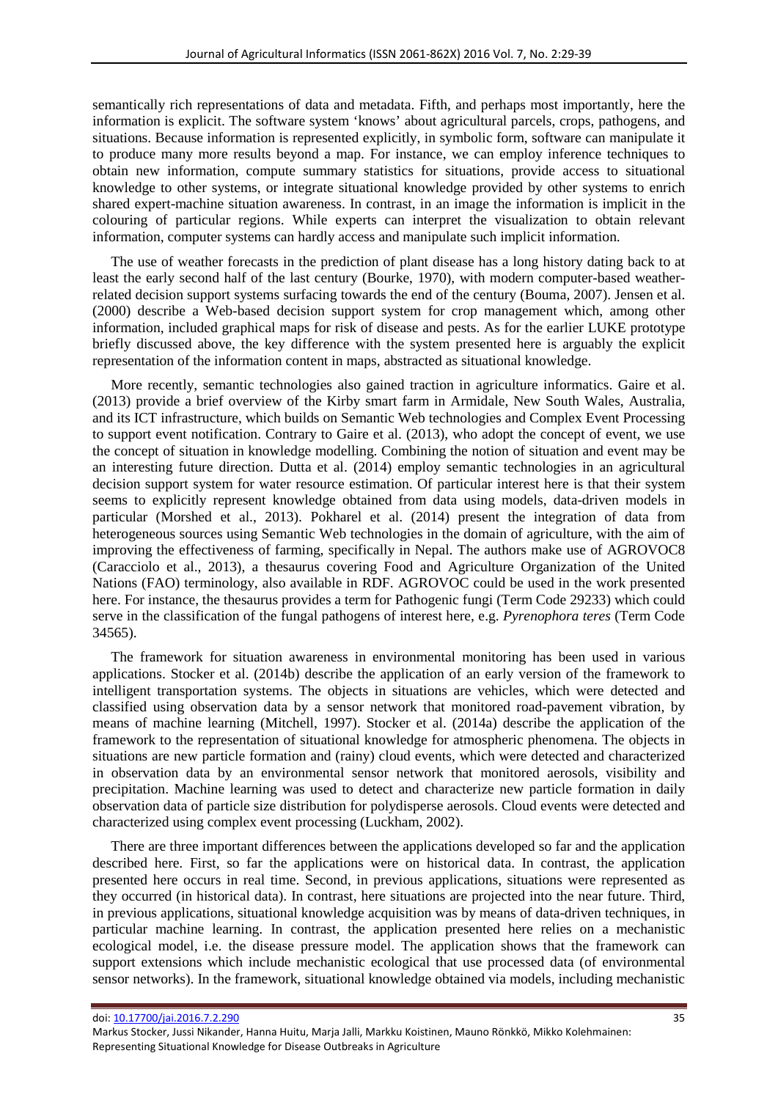semantically rich representations of data and metadata. Fifth, and perhaps most importantly, here the information is explicit. The software system 'knows' about agricultural parcels, crops, pathogens, and situations. Because information is represented explicitly, in symbolic form, software can manipulate it to produce many more results beyond a map. For instance, we can employ inference techniques to obtain new information, compute summary statistics for situations, provide access to situational knowledge to other systems, or integrate situational knowledge provided by other systems to enrich shared expert-machine situation awareness. In contrast, in an image the information is implicit in the colouring of particular regions. While experts can interpret the visualization to obtain relevant information, computer systems can hardly access and manipulate such implicit information.

The use of weather forecasts in the prediction of plant disease has a long history dating back to at least the early second half of the last century (Bourke, 1970), with modern computer-based weatherrelated decision support systems surfacing towards the end of the century (Bouma, 2007). Jensen et al. (2000) describe a Web-based decision support system for crop management which, among other information, included graphical maps for risk of disease and pests. As for the earlier LUKE prototype briefly discussed above, the key difference with the system presented here is arguably the explicit representation of the information content in maps, abstracted as situational knowledge.

More recently, semantic technologies also gained traction in agriculture informatics. Gaire et al. (2013) provide a brief overview of the Kirby smart farm in Armidale, New South Wales, Australia, and its ICT infrastructure, which builds on Semantic Web technologies and Complex Event Processing to support event notification. Contrary to Gaire et al. (2013), who adopt the concept of event, we use the concept of situation in knowledge modelling. Combining the notion of situation and event may be an interesting future direction. Dutta et al. (2014) employ semantic technologies in an agricultural decision support system for water resource estimation. Of particular interest here is that their system seems to explicitly represent knowledge obtained from data using models, data-driven models in particular (Morshed et al., 2013). Pokharel et al. (2014) present the integration of data from heterogeneous sources using Semantic Web technologies in the domain of agriculture, with the aim of improving the effectiveness of farming, specifically in Nepal. The authors make use of AGROVOC8 (Caracciolo et al., 2013), a thesaurus covering Food and Agriculture Organization of the United Nations (FAO) terminology, also available in RDF. AGROVOC could be used in the work presented here. For instance, the thesaurus provides a term for Pathogenic fungi (Term Code 29233) which could serve in the classification of the fungal pathogens of interest here, e.g. *Pyrenophora teres* (Term Code 34565).

The framework for situation awareness in environmental monitoring has been used in various applications. Stocker et al. (2014b) describe the application of an early version of the framework to intelligent transportation systems. The objects in situations are vehicles, which were detected and classified using observation data by a sensor network that monitored road-pavement vibration, by means of machine learning (Mitchell, 1997). Stocker et al. (2014a) describe the application of the framework to the representation of situational knowledge for atmospheric phenomena. The objects in situations are new particle formation and (rainy) cloud events, which were detected and characterized in observation data by an environmental sensor network that monitored aerosols, visibility and precipitation. Machine learning was used to detect and characterize new particle formation in daily observation data of particle size distribution for polydisperse aerosols. Cloud events were detected and characterized using complex event processing (Luckham, 2002).

There are three important differences between the applications developed so far and the application described here. First, so far the applications were on historical data. In contrast, the application presented here occurs in real time. Second, in previous applications, situations were represented as they occurred (in historical data). In contrast, here situations are projected into the near future. Third, in previous applications, situational knowledge acquisition was by means of data-driven techniques, in particular machine learning. In contrast, the application presented here relies on a mechanistic ecological model, i.e. the disease pressure model. The application shows that the framework can support extensions which include mechanistic ecological that use processed data (of environmental sensor networks). In the framework, situational knowledge obtained via models, including mechanistic

Markus Stocker, Jussi Nikander, Hanna Huitu, Marja Jalli, Markku Koistinen, Mauno Rönkkö, Mikko Kolehmainen: Representing Situational Knowledge for Disease Outbreaks in Agriculture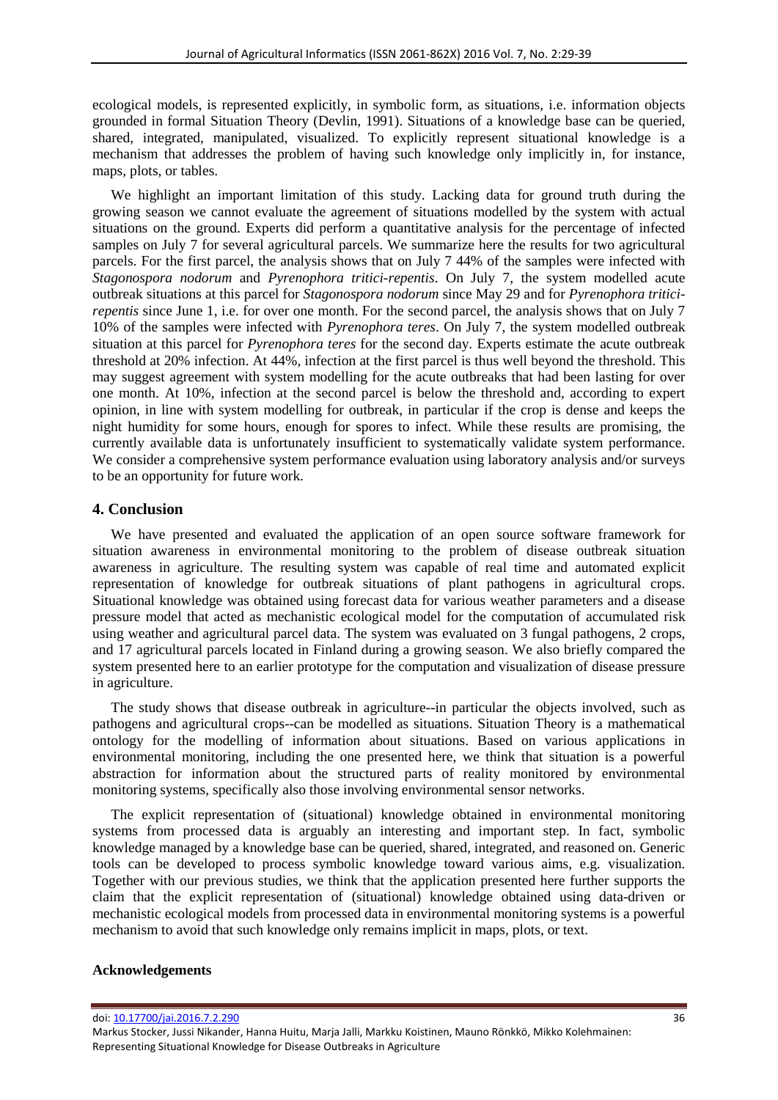ecological models, is represented explicitly, in symbolic form, as situations, i.e. information objects grounded in formal Situation Theory (Devlin, 1991). Situations of a knowledge base can be queried, shared, integrated, manipulated, visualized. To explicitly represent situational knowledge is a mechanism that addresses the problem of having such knowledge only implicitly in, for instance, maps, plots, or tables.

We highlight an important limitation of this study. Lacking data for ground truth during the growing season we cannot evaluate the agreement of situations modelled by the system with actual situations on the ground. Experts did perform a quantitative analysis for the percentage of infected samples on July 7 for several agricultural parcels. We summarize here the results for two agricultural parcels. For the first parcel, the analysis shows that on July 7 44% of the samples were infected with *Stagonospora nodorum* and *Pyrenophora tritici-repentis*. On July 7, the system modelled acute outbreak situations at this parcel for *Stagonospora nodorum* since May 29 and for *Pyrenophora triticirepentis* since June 1, i.e. for over one month. For the second parcel, the analysis shows that on July 7 10% of the samples were infected with *Pyrenophora teres*. On July 7, the system modelled outbreak situation at this parcel for *Pyrenophora teres* for the second day. Experts estimate the acute outbreak threshold at 20% infection. At 44%, infection at the first parcel is thus well beyond the threshold. This may suggest agreement with system modelling for the acute outbreaks that had been lasting for over one month. At 10%, infection at the second parcel is below the threshold and, according to expert opinion, in line with system modelling for outbreak, in particular if the crop is dense and keeps the night humidity for some hours, enough for spores to infect. While these results are promising, the currently available data is unfortunately insufficient to systematically validate system performance. We consider a comprehensive system performance evaluation using laboratory analysis and/or surveys to be an opportunity for future work.

## **4. Conclusion**

We have presented and evaluated the application of an open source software framework for situation awareness in environmental monitoring to the problem of disease outbreak situation awareness in agriculture. The resulting system was capable of real time and automated explicit representation of knowledge for outbreak situations of plant pathogens in agricultural crops. Situational knowledge was obtained using forecast data for various weather parameters and a disease pressure model that acted as mechanistic ecological model for the computation of accumulated risk using weather and agricultural parcel data. The system was evaluated on 3 fungal pathogens, 2 crops, and 17 agricultural parcels located in Finland during a growing season. We also briefly compared the system presented here to an earlier prototype for the computation and visualization of disease pressure in agriculture.

The study shows that disease outbreak in agriculture--in particular the objects involved, such as pathogens and agricultural crops--can be modelled as situations. Situation Theory is a mathematical ontology for the modelling of information about situations. Based on various applications in environmental monitoring, including the one presented here, we think that situation is a powerful abstraction for information about the structured parts of reality monitored by environmental monitoring systems, specifically also those involving environmental sensor networks.

The explicit representation of (situational) knowledge obtained in environmental monitoring systems from processed data is arguably an interesting and important step. In fact, symbolic knowledge managed by a knowledge base can be queried, shared, integrated, and reasoned on. Generic tools can be developed to process symbolic knowledge toward various aims, e.g. visualization. Together with our previous studies, we think that the application presented here further supports the claim that the explicit representation of (situational) knowledge obtained using data-driven or mechanistic ecological models from processed data in environmental monitoring systems is a powerful mechanism to avoid that such knowledge only remains implicit in maps, plots, or text.

#### **Acknowledgements**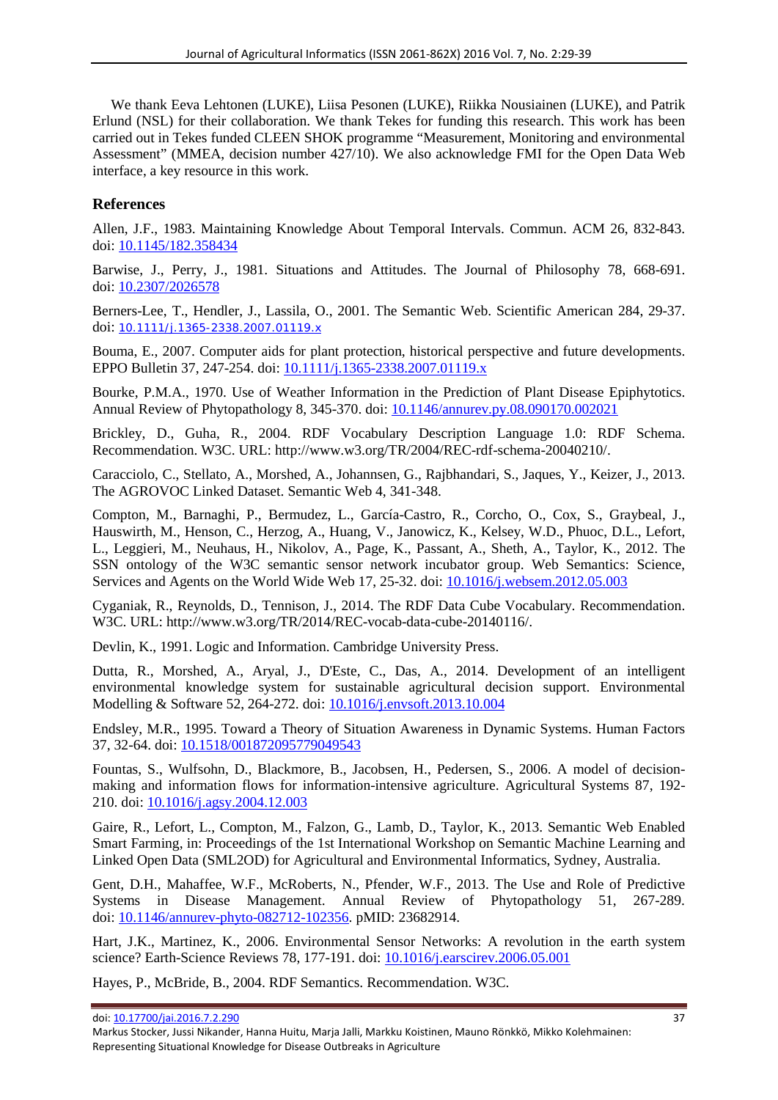We thank Eeva Lehtonen (LUKE), Liisa Pesonen (LUKE), Riikka Nousiainen (LUKE), and Patrik Erlund (NSL) for their collaboration. We thank Tekes for funding this research. This work has been carried out in Tekes funded CLEEN SHOK programme "Measurement, Monitoring and environmental Assessment" (MMEA, decision number 427/10). We also acknowledge FMI for the Open Data Web interface, a key resource in this work.

## **References**

Allen, J.F., 1983. Maintaining Knowledge About Temporal Intervals. Commun. ACM 26, 832-843. doi[: 10.1145/182.358434](http://dx.doi.org/10.1145/182.358434)

Barwise, J., Perry, J., 1981. Situations and Attitudes. The Journal of Philosophy 78, 668-691. doi[: 10.2307/2026578](http://dx.doi.org/10.2307/2026578)

Berners-Lee, T., Hendler, J., Lassila, O., 2001. The Semantic Web. Scientific American 284, 29-37. doi: [10.1111/j.1365-2338.2007.01119.x](http://dx.doi.org/10.1111/j.1365-2338.2007.01119.x)

Bouma, E., 2007. Computer aids for plant protection, historical perspective and future developments. EPPO Bulletin 37, 247-254. doi: [10.1111/j.1365-2338.2007.01119.x](http://dx.doi.org/10.1111/j.1365-2338.2007.01119.x)

Bourke, P.M.A., 1970. Use of Weather Information in the Prediction of Plant Disease Epiphytotics. Annual Review of Phytopathology 8, 345-370. doi: [10.1146/annurev.py.08.090170.002021](http://dx.doi.org/10.1146/annurev.py.08.090170.002021)

Brickley, D., Guha, R., 2004. RDF Vocabulary Description Language 1.0: RDF Schema. Recommendation. W3C. URL: http://www.w3.org/TR/2004/REC-rdf-schema-20040210/.

Caracciolo, C., Stellato, A., Morshed, A., Johannsen, G., Rajbhandari, S., Jaques, Y., Keizer, J., 2013. The AGROVOC Linked Dataset. Semantic Web 4, 341-348.

Compton, M., Barnaghi, P., Bermudez, L., García-Castro, R., Corcho, O., Cox, S., Graybeal, J., Hauswirth, M., Henson, C., Herzog, A., Huang, V., Janowicz, K., Kelsey, W.D., Phuoc, D.L., Lefort, L., Leggieri, M., Neuhaus, H., Nikolov, A., Page, K., Passant, A., Sheth, A., Taylor, K., 2012. The SSN ontology of the W3C semantic sensor network incubator group. Web Semantics: Science, Services and Agents on the World Wide Web 17, 25-32. doi: [10.1016/j.websem.2012.05.003](http://dx.doi.org/10.1016/j.websem.2012.05.003)

Cyganiak, R., Reynolds, D., Tennison, J., 2014. The RDF Data Cube Vocabulary. Recommendation. W3C. URL: http://www.w3.org/TR/2014/REC-vocab-data-cube-20140116/.

Devlin, K., 1991. Logic and Information. Cambridge University Press.

Dutta, R., Morshed, A., Aryal, J., D'Este, C., Das, A., 2014. Development of an intelligent environmental knowledge system for sustainable agricultural decision support. Environmental Modelling & Software 52, 264-272. doi: [10.1016/j.envsoft.2013.10.004](http://dx.doi.org/10.1016/j.envsoft.2013.10.004)

Endsley, M.R., 1995. Toward a Theory of Situation Awareness in Dynamic Systems. Human Factors 37, 32-64. doi: [10.1518/001872095779049543](http://dx.doi.org/10.1518/001872095779049543)

Fountas, S., Wulfsohn, D., Blackmore, B., Jacobsen, H., Pedersen, S., 2006. A model of decisionmaking and information flows for information-intensive agriculture. Agricultural Systems 87, 192- 210. doi: [10.1016/j.agsy.2004.12.003](http://dx.doi.org/10.1016/j.agsy.2004.12.003)

Gaire, R., Lefort, L., Compton, M., Falzon, G., Lamb, D., Taylor, K., 2013. Semantic Web Enabled Smart Farming, in: Proceedings of the 1st International Workshop on Semantic Machine Learning and Linked Open Data (SML2OD) for Agricultural and Environmental Informatics, Sydney, Australia.

Gent, D.H., Mahaffee, W.F., McRoberts, N., Pfender, W.F., 2013. The Use and Role of Predictive Systems in Disease Management. Annual Review of Phytopathology 51, 267-289. doi[: 10.1146/annurev-phyto-082712-102356.](http://dx.doi.org/10.1146/annurev-phyto-082712-102356) pMID: 23682914.

Hart, J.K., Martinez, K., 2006. Environmental Sensor Networks: A revolution in the earth system science? Earth-Science Reviews 78, 177-191. doi: [10.1016/j.earscirev.2006.05.001](http://dx.doi.org/10.1016/j.earscirev.2006.05.001)

Hayes, P., McBride, B., 2004. RDF Semantics. Recommendation. W3C.

doi: [10.17700/jai.2016.7.2.290](http://dx.doi.org/10.17700/jai.2016.7.2.290) 37

Markus Stocker, Jussi Nikander, Hanna Huitu, Marja Jalli, Markku Koistinen, Mauno Rönkkö, Mikko Kolehmainen: Representing Situational Knowledge for Disease Outbreaks in Agriculture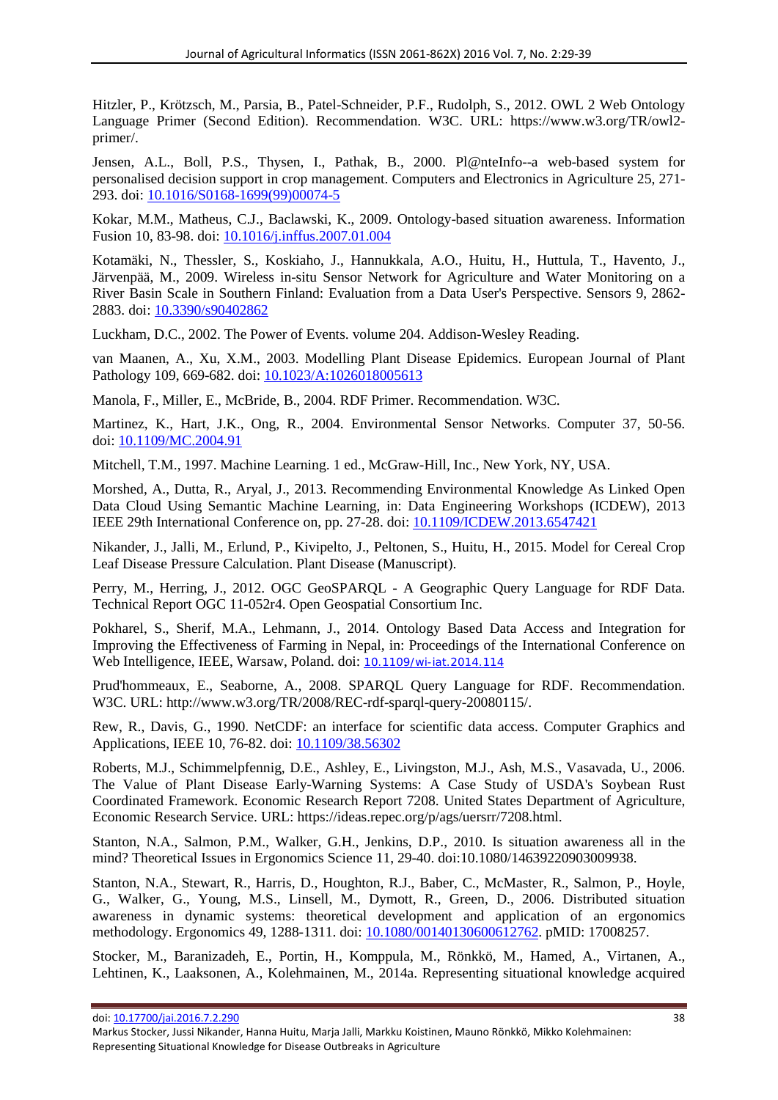Hitzler, P., Krötzsch, M., Parsia, B., Patel-Schneider, P.F., Rudolph, S., 2012. OWL 2 Web Ontology Language Primer (Second Edition). Recommendation. W3C. URL: https://www.w3.org/TR/owl2 primer/.

Jensen, A.L., Boll, P.S., Thysen, I., Pathak, B., 2000. Pl@nteInfo--a web-based system for personalised decision support in crop management. Computers and Electronics in Agriculture 25, 271- 293. doi[: 10.1016/S0168-1699\(99\)00074-5](http://dx.doi.org/10.1016/S0168-1699(99)00074-5)

Kokar, M.M., Matheus, C.J., Baclawski, K., 2009. Ontology-based situation awareness. Information Fusion 10, 83-98. doi: [10.1016/j.inffus.2007.01.004](http://dx.doi.org/10.1016/j.inffus.2007.01.004)

Kotamäki, N., Thessler, S., Koskiaho, J., Hannukkala, A.O., Huitu, H., Huttula, T., Havento, J., Järvenpää, M., 2009. Wireless in-situ Sensor Network for Agriculture and Water Monitoring on a River Basin Scale in Southern Finland: Evaluation from a Data User's Perspective. Sensors 9, 2862- 2883. doi: [10.3390/s90402862](http://dx.doi.org/10.3390/s90402862)

Luckham, D.C., 2002. The Power of Events. volume 204. Addison-Wesley Reading.

van Maanen, A., Xu, X.M., 2003. Modelling Plant Disease Epidemics. European Journal of Plant Pathology 109, 669-682. doi: [10.1023/A:1026018005613](http://dx.doi.org/10.1023/A:1026018005613)

Manola, F., Miller, E., McBride, B., 2004. RDF Primer. Recommendation. W3C.

Martinez, K., Hart, J.K., Ong, R., 2004. Environmental Sensor Networks. Computer 37, 50-56. doi[: 10.1109/MC.2004.91](http://dx.doi.org/10.1109/MC.2004.91)

Mitchell, T.M., 1997. Machine Learning. 1 ed., McGraw-Hill, Inc., New York, NY, USA.

Morshed, A., Dutta, R., Aryal, J., 2013. Recommending Environmental Knowledge As Linked Open Data Cloud Using Semantic Machine Learning, in: Data Engineering Workshops (ICDEW), 2013 IEEE 29th International Conference on, pp. 27-28. doi: [10.1109/ICDEW.2013.6547421](http://dx.doi.org/10.1109/ICDEW.2013.6547421)

Nikander, J., Jalli, M., Erlund, P., Kivipelto, J., Peltonen, S., Huitu, H., 2015. Model for Cereal Crop Leaf Disease Pressure Calculation. Plant Disease (Manuscript).

Perry, M., Herring, J., 2012. OGC GeoSPARQL - A Geographic Query Language for RDF Data. Technical Report OGC 11-052r4. Open Geospatial Consortium Inc.

Pokharel, S., Sherif, M.A., Lehmann, J., 2014. Ontology Based Data Access and Integration for Improving the Effectiveness of Farming in Nepal, in: Proceedings of the International Conference on Web Intelligence, IEEE, Warsaw, Poland. doi: [10.1109/wi-iat.2014.114](http://dx.doi.org/10.1109/wi-iat.2014.114)

Prud'hommeaux, E., Seaborne, A., 2008. SPARQL Query Language for RDF. Recommendation. W3C. URL: http://www.w3.org/TR/2008/REC-rdf-sparql-query-20080115/.

Rew, R., Davis, G., 1990. NetCDF: an interface for scientific data access. Computer Graphics and Applications, IEEE 10, 76-82. doi: [10.1109/38.56302](http://dx.doi.org/10.1109/38.56302)

Roberts, M.J., Schimmelpfennig, D.E., Ashley, E., Livingston, M.J., Ash, M.S., Vasavada, U., 2006. The Value of Plant Disease Early-Warning Systems: A Case Study of USDA's Soybean Rust Coordinated Framework. Economic Research Report 7208. United States Department of Agriculture, Economic Research Service. URL: https://ideas.repec.org/p/ags/uersrr/7208.html.

Stanton, N.A., Salmon, P.M., Walker, G.H., Jenkins, D.P., 2010. Is situation awareness all in the mind? Theoretical Issues in Ergonomics Science 11, 29-40. doi:10.1080/14639220903009938.

Stanton, N.A., Stewart, R., Harris, D., Houghton, R.J., Baber, C., McMaster, R., Salmon, P., Hoyle, G., Walker, G., Young, M.S., Linsell, M., Dymott, R., Green, D., 2006. Distributed situation awareness in dynamic systems: theoretical development and application of an ergonomics methodology. Ergonomics 49, 1288-1311. doi: [10.1080/00140130600612762.](http://dx.doi.org/10.1080/00140130600612762) pMID: 17008257.

Stocker, M., Baranizadeh, E., Portin, H., Komppula, M., Rönkkö, M., Hamed, A., Virtanen, A., Lehtinen, K., Laaksonen, A., Kolehmainen, M., 2014a. Representing situational knowledge acquired

Markus Stocker, Jussi Nikander, Hanna Huitu, Marja Jalli, Markku Koistinen, Mauno Rönkkö, Mikko Kolehmainen: Representing Situational Knowledge for Disease Outbreaks in Agriculture